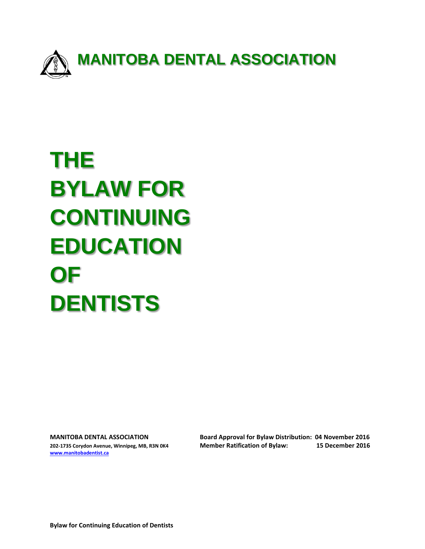

# **THE BYLAW FOR CONTINUING EDUCATION OF DENTISTS**

**[www.manitobadentist.ca](http://www.manitobadentist.ca/)**

**MANITOBA DENTAL ASSOCIATION Board Approval for Bylaw Distribution: 04 November 2016 202-1735 Corydon Avenue, Winnipeg, MB, R3N 0K4 Member Ratification of Bylaw: 15 December 2016**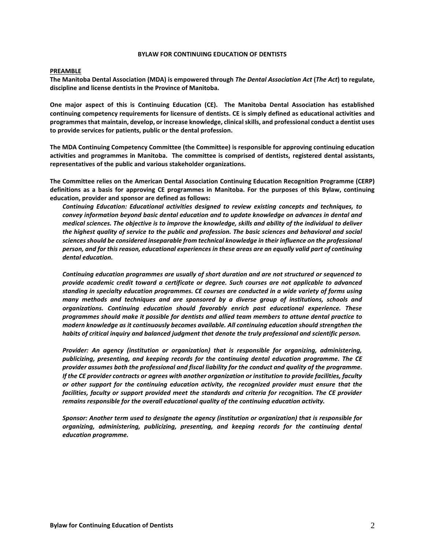#### **BYLAW FOR CONTINUING EDUCATION OF DENTISTS**

#### **PREAMBLE**

**The Manitoba Dental Association (MDA) is empowered through** *The Dental Association Act* **(***The Act***) to regulate, discipline and license dentists in the Province of Manitoba.**

**One major aspect of this is Continuing Education (CE). The Manitoba Dental Association has established continuing competency requirements for licensure of dentists. CE is simply defined as educational activities and programmes that maintain, develop, or increase knowledge, clinical skills, and professional conduct a dentist uses to provide services for patients, public or the dental profession.**

**The MDA Continuing Competency Committee (the Committee) is responsible for approving continuing education activities and programmes in Manitoba. The committee is comprised of dentists, registered dental assistants, representatives of the public and various stakeholder organizations.**

**The Committee relies on the American Dental Association Continuing Education Recognition Programme (CERP) definitions as a basis for approving CE programmes in Manitoba. For the purposes of this Bylaw, continuing education, provider and sponsor are defined as follows:** 

*Continuing Education: Educational activities designed to review existing concepts and techniques, to convey information beyond basic dental education and to update knowledge on advances in dental and medical sciences. The objective is to improve the knowledge, skills and ability of the individual to deliver the highest quality of service to the public and profession. The basic sciences and behavioral and social sciences should be considered inseparable from technical knowledge in their influence on the professional person, and for this reason, educational experiences in these areas are an equally valid part of continuing dental education.*

*Continuing education programmes are usually of short duration and are not structured or sequenced to provide academic credit toward a certificate or degree. Such courses are not applicable to advanced standing in specialty education programmes. CE courses are conducted in a wide variety of forms using many methods and techniques and are sponsored by a diverse group of institutions, schools and organizations. Continuing education should favorably enrich past educational experience. These programmes should make it possible for dentists and allied team members to attune dental practice to modern knowledge as it continuously becomes available. All continuing education should strengthen the habits of critical inquiry and balanced judgment that denote the truly professional and scientific person.*

*Provider: An agency (institution or organization) that is responsible for organizing, administering, publicizing, presenting, and keeping records for the continuing dental education programme. The CE provider assumes both the professional and fiscal liability for the conduct and quality of the programme. If the CE provider contracts or agrees with another organization or institution to provide facilities, faculty or other support for the continuing education activity, the recognized provider must ensure that the*  facilities, faculty or support provided meet the standards and criteria for recognition. The CE provider *remains responsible for the overall educational quality of the continuing education activity.* 

*Sponsor: Another term used to designate the agency (institution or organization) that is responsible for organizing, administering, publicizing, presenting, and keeping records for the continuing dental education programme.*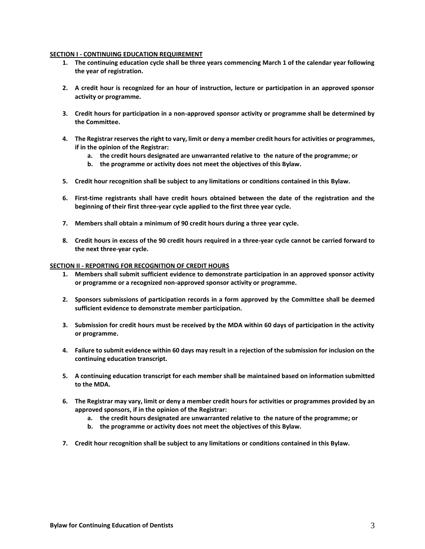#### **SECTION I - CONTINUING EDUCATION REQUIREMENT**

- **1. The continuing education cycle shall be three years commencing March 1 of the calendar year following the year of registration.**
- **2. A credit hour is recognized for an hour of instruction, lecture or participation in an approved sponsor activity or programme.**
- **3. Credit hours for participation in a non-approved sponsor activity or programme shall be determined by the Committee.**
- **4. The Registrar reserves the right to vary, limit or deny a member credit hours for activities or programmes, if in the opinion of the Registrar:**
	- **a. the credit hours designated are unwarranted relative to the nature of the programme; or**
	- **b. the programme or activity does not meet the objectives of this Bylaw.**
- **5. Credit hour recognition shall be subject to any limitations or conditions contained in this Bylaw.**
- **6. First-time registrants shall have credit hours obtained between the date of the registration and the beginning of their first three-year cycle applied to the first three year cycle.**
- **7. Members shall obtain a minimum of 90 credit hours during a three year cycle.**
- **8. Credit hours in excess of the 90 credit hours required in a three-year cycle cannot be carried forward to the next three-year cycle.**

#### **SECTION II - REPORTING FOR RECOGNITION OF CREDIT HOURS**

- **1. Members shall submit sufficient evidence to demonstrate participation in an approved sponsor activity or programme or a recognized non-approved sponsor activity or programme.**
- **2. Sponsors submissions of participation records in a form approved by the Committee shall be deemed sufficient evidence to demonstrate member participation.**
- **3. Submission for credit hours must be received by the MDA within 60 days of participation in the activity or programme.**
- **4. Failure to submit evidence within 60 days may result in a rejection of the submission for inclusion on the continuing education transcript.**
- **5. A continuing education transcript for each member shall be maintained based on information submitted to the MDA.**
- **6. The Registrar may vary, limit or deny a member credit hours for activities or programmes provided by an approved sponsors, if in the opinion of the Registrar:**
	- **a. the credit hours designated are unwarranted relative to the nature of the programme; or**
	- **b. the programme or activity does not meet the objectives of this Bylaw.**
- **7. Credit hour recognition shall be subject to any limitations or conditions contained in this Bylaw.**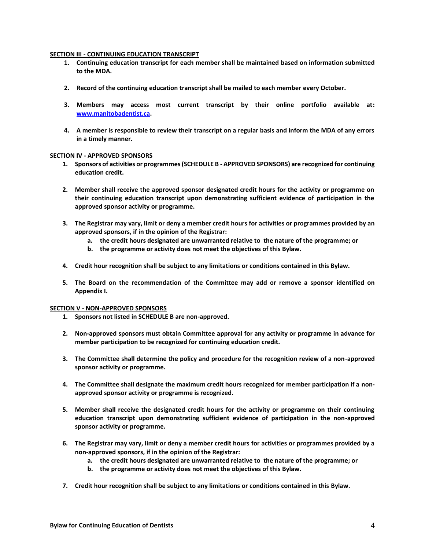#### **SECTION III - CONTINUING EDUCATION TRANSCRIPT**

- **1. Continuing education transcript for each member shall be maintained based on information submitted to the MDA.**
- **2. Record of the continuing education transcript shall be mailed to each member every October.**
- **3. Members may access most current transcript by their online portfolio available at: [www.manitobadentist.ca.](http://www.manitobadentist.ca/)**
- **4. A member is responsible to review their transcript on a regular basis and inform the MDA of any errors in a timely manner.**

#### **SECTION IV - APPROVED SPONSORS**

- **1. Sponsors of activities or programmes (SCHEDULE B - APPROVED SPONSORS) are recognized for continuing education credit.**
- **2. Member shall receive the approved sponsor designated credit hours for the activity or programme on their continuing education transcript upon demonstrating sufficient evidence of participation in the approved sponsor activity or programme.**
- **3. The Registrar may vary, limit or deny a member credit hours for activities or programmes provided by an approved sponsors, if in the opinion of the Registrar:**
	- **a. the credit hours designated are unwarranted relative to the nature of the programme; or**
	- **b. the programme or activity does not meet the objectives of this Bylaw.**
- **4. Credit hour recognition shall be subject to any limitations or conditions contained in this Bylaw.**
- **5. The Board on the recommendation of the Committee may add or remove a sponsor identified on Appendix I.**

#### **SECTION V - NON-APPROVED SPONSORS**

- **1. Sponsors not listed in SCHEDULE B are non-approved.**
- **2. Non-approved sponsors must obtain Committee approval for any activity or programme in advance for member participation to be recognized for continuing education credit.**
- **3. The Committee shall determine the policy and procedure for the recognition review of a non-approved sponsor activity or programme.**
- **4. The Committee shall designate the maximum credit hours recognized for member participation if a nonapproved sponsor activity or programme is recognized.**
- **5. Member shall receive the designated credit hours for the activity or programme on their continuing education transcript upon demonstrating sufficient evidence of participation in the non-approved sponsor activity or programme.**
- **6. The Registrar may vary, limit or deny a member credit hours for activities or programmes provided by a non-approved sponsors, if in the opinion of the Registrar:**
	- **a. the credit hours designated are unwarranted relative to the nature of the programme; or**
	- **b. the programme or activity does not meet the objectives of this Bylaw.**
- **7. Credit hour recognition shall be subject to any limitations or conditions contained in this Bylaw.**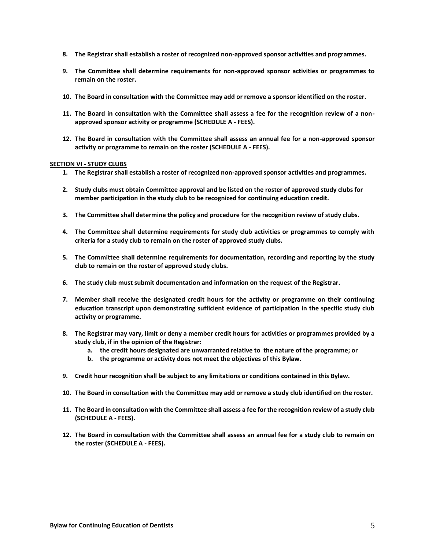- **8. The Registrar shall establish a roster of recognized non-approved sponsor activities and programmes.**
- **9. The Committee shall determine requirements for non-approved sponsor activities or programmes to remain on the roster.**
- **10. The Board in consultation with the Committee may add or remove a sponsor identified on the roster.**
- **11. The Board in consultation with the Committee shall assess a fee for the recognition review of a nonapproved sponsor activity or programme (SCHEDULE A - FEES).**
- **12. The Board in consultation with the Committee shall assess an annual fee for a non-approved sponsor activity or programme to remain on the roster (SCHEDULE A - FEES).**

#### **SECTION VI - STUDY CLUBS**

- **1. The Registrar shall establish a roster of recognized non-approved sponsor activities and programmes.**
- **2. Study clubs must obtain Committee approval and be listed on the roster of approved study clubs for member participation in the study club to be recognized for continuing education credit.**
- **3. The Committee shall determine the policy and procedure for the recognition review of study clubs.**
- **4. The Committee shall determine requirements for study club activities or programmes to comply with criteria for a study club to remain on the roster of approved study clubs.**
- **5. The Committee shall determine requirements for documentation, recording and reporting by the study club to remain on the roster of approved study clubs.**
- **6. The study club must submit documentation and information on the request of the Registrar.**
- **7. Member shall receive the designated credit hours for the activity or programme on their continuing education transcript upon demonstrating sufficient evidence of participation in the specific study club activity or programme.**
- **8. The Registrar may vary, limit or deny a member credit hours for activities or programmes provided by a study club, if in the opinion of the Registrar:**
	- **a. the credit hours designated are unwarranted relative to the nature of the programme; or**
	- **b. the programme or activity does not meet the objectives of this Bylaw.**
- **9. Credit hour recognition shall be subject to any limitations or conditions contained in this Bylaw.**
- **10. The Board in consultation with the Committee may add or remove a study club identified on the roster.**
- **11. The Board in consultation with the Committee shall assess a fee for the recognition review of a study club (SCHEDULE A - FEES).**
- **12. The Board in consultation with the Committee shall assess an annual fee for a study club to remain on the roster (SCHEDULE A - FEES).**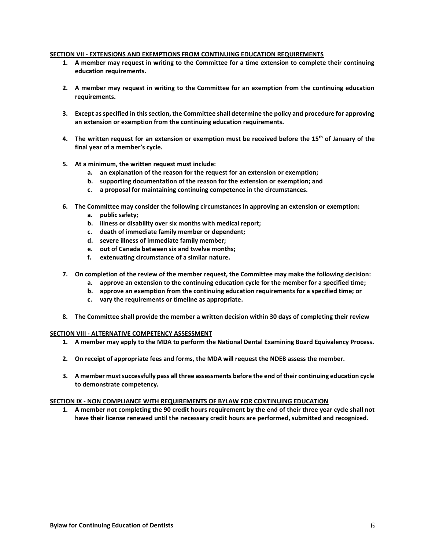#### **SECTION VII - EXTENSIONS AND EXEMPTIONS FROM CONTINUING EDUCATION REQUIREMENTS**

- **1. A member may request in writing to the Committee for a time extension to complete their continuing education requirements.**
- **2. A member may request in writing to the Committee for an exemption from the continuing education requirements.**
- **3. Except as specified in this section, the Committee shall determine the policy and procedure for approving an extension or exemption from the continuing education requirements.**
- **4. The written request for an extension or exemption must be received before the 15th of January of the final year of a member's cycle.**
- **5. At a minimum, the written request must include:**
	- **a. an explanation of the reason for the request for an extension or exemption;**
	- **b. supporting documentation of the reason for the extension or exemption; and**
	- **c. a proposal for maintaining continuing competence in the circumstances.**
- **6. The Committee may consider the following circumstances in approving an extension or exemption:**
	- **a. public safety;**
	- **b. illness or disability over six months with medical report;**
	- **c. death of immediate family member or dependent;**
	- **d. severe illness of immediate family member;**
	- **e. out of Canada between six and twelve months;**
	- **f. extenuating circumstance of a similar nature.**
- **7. On completion of the review of the member request, the Committee may make the following decision:**
	- **a. approve an extension to the continuing education cycle for the member for a specified time;**
	- **b. approve an exemption from the continuing education requirements for a specified time; or**
	- **c. vary the requirements or timeline as appropriate.**
- **8. The Committee shall provide the member a written decision within 30 days of completing their review**

#### **SECTION VIII - ALTERNATIVE COMPETENCY ASSESSMENT**

- **1. A member may apply to the MDA to perform the National Dental Examining Board Equivalency Process.**
- **2. On receipt of appropriate fees and forms, the MDA will request the NDEB assess the member.**
- **3. A member must successfully pass all three assessments before the end of their continuing education cycle to demonstrate competency.**

#### **SECTION IX - NON COMPLIANCE WITH REQUIREMENTS OF BYLAW FOR CONTINUING EDUCATION**

**1. A member not completing the 90 credit hours requirement by the end of their three year cycle shall not have their license renewed until the necessary credit hours are performed, submitted and recognized.**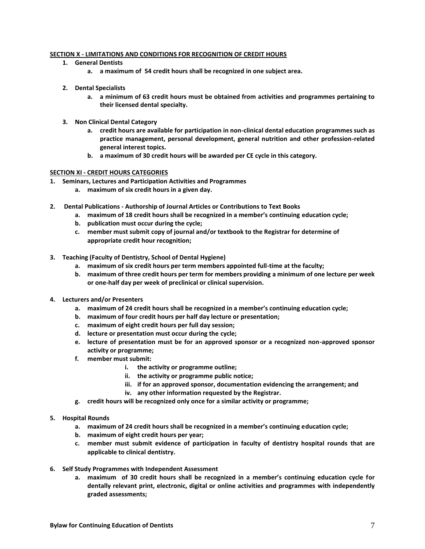#### **SECTION X - LIMITATIONS AND CONDITIONS FOR RECOGNITION OF CREDIT HOURS**

- **1. General Dentists**
	- **a. a maximum of 54 credit hours shall be recognized in one subject area.**
- **2. Dental Specialists**
	- **a. a minimum of 63 credit hours must be obtained from activities and programmes pertaining to their licensed dental specialty.**
- **3. Non Clinical Dental Category**
	- **a. credit hours are available for participation in non-clinical dental education programmes such as practice management, personal development, general nutrition and other profession-related general interest topics.**
	- **b. a maximum of 30 credit hours will be awarded per CE cycle in this category.**

#### **SECTION XI - CREDIT HOURS CATEGORIES**

- **1. Seminars, Lectures and Participation Activities and Programmes**
	- **a. maximum of six credit hours in a given day.**
- **2. Dental Publications - Authorship of Journal Articles or Contributions to Text Books**
	- **a. maximum of 18 credit hours shall be recognized in a member's continuing education cycle;**
	- **b. publication must occur during the cycle;**
	- **c. member must submit copy of journal and/or textbook to the Registrar for determine of appropriate credit hour recognition;**
- **3. Teaching (Faculty of Dentistry, School of Dental Hygiene)**
	- **a. maximum of six credit hours per term members appointed full-time at the faculty;**
	- **b. maximum of three credit hours per term for members providing a minimum of one lecture per week or one-half day per week of preclinical or clinical supervision.**
- **4. Lecturers and/or Presenters**
	- **a. maximum of 24 credit hours shall be recognized in a member's continuing education cycle;**
	- **b. maximum of four credit hours per half day lecture or presentation;**
	- **c. maximum of eight credit hours per full day session;**
	- **d. lecture or presentation must occur during the cycle;**
	- **e. lecture of presentation must be for an approved sponsor or a recognized non-approved sponsor activity or programme;**
	- **f. member must submit:**
		- **i. the activity or programme outline;**
		- **ii. the activity or programme public notice;**
		- **iii. if for an approved sponsor, documentation evidencing the arrangement; and iv. any other information requested by the Registrar.**
		-
	- **g. credit hours will be recognized only once for a similar activity or programme;**
- **5. Hospital Rounds**
	- **a. maximum of 24 credit hours shall be recognized in a member's continuing education cycle;**
	- **b. maximum of eight credit hours per year;**
	- **c. member must submit evidence of participation in faculty of dentistry hospital rounds that are applicable to clinical dentistry.**
- **6. Self Study Programmes with Independent Assessment**
	- **a. maximum of 30 credit hours shall be recognized in a member's continuing education cycle for dentally relevant print, electronic, digital or online activities and programmes with independently graded assessments;**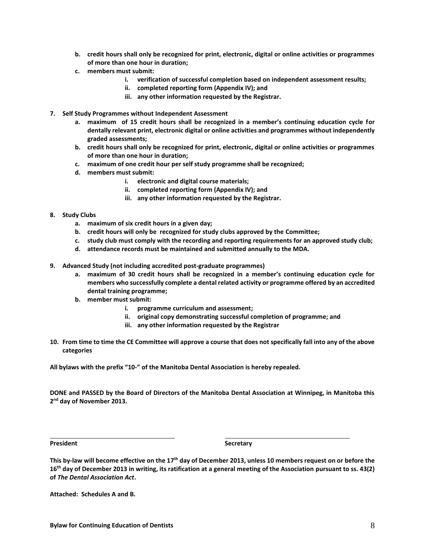- **b. credit hours shall only be recognized for print, electronic, digital or online activities or programmes of more than one hour in duration;**
- **c. members must submit:**
	- **i. verification of successful completion based on independent assessment results;**
	- **ii. completed reporting form (Appendix IV); and**
	- **iii. any other information requested by the Registrar.**
- **7. Self Study Programmes without Independent Assessment**
	- **a. maximum of 15 credit hours shall be recognized in a member's continuing education cycle for dentally relevant print, electronic digital or online activities and programmes without independently graded assessments;**
	- **b. credit hours shall only be recognized for print, electronic, digital or online activities or programmes of more than one hour in duration;**
	- **c. maximum of one credit hour per self study programme shall be recognized;**
	- **d. members must submit:**
		- **i. electronic and digital course materials;**
		- **ii. completed reporting form (Appendix IV); and**
		- **iii. any other information requested by the Registrar.**

#### **8. Study Clubs**

- **a. maximum of six credit hours in a given day;**
- **b. credit hours will only be recognized for study clubs approved by the Committee;**
- **c. study club must comply with the recording and reporting requirements for an approved study club;**
- **d. attendance records must be maintained and submitted annually to the MDA.**
- **9. Advanced Study (not including accredited post-graduate programmes)**
	- **a. maximum of 30 credit hours shall be recognized in a member's continuing education cycle for members who successfully complete a dental related activity or programme offered by an accredited dental training programme;**
	- **b. member must submit:**
		- **i. programme curriculum and assessment;**
		- **ii. original copy demonstrating successful completion of programme; and**
		- **iii. any other information requested by the Registrar**
- **10. From time to time the CE Committee will approve a course that does not specifically fall into any of the above categories**

**All bylaws with the prefix "10-" of the Manitoba Dental Association is hereby repealed.**

**DONE and PASSED by the Board of Directors of the Manitoba Dental Association at Winnipeg, in Manitoba this 2 nd day of November 2013.**

**President Secretary** 

**This by-law will become effective on the 17 th day of December 2013, unless 10 members request on or before the 16th day of December 2013 in writing, its ratification at a general meeting of the Association pursuant to ss. 43(2) of** *The Dental Association Act***.**

**Attached: Schedules A and B.**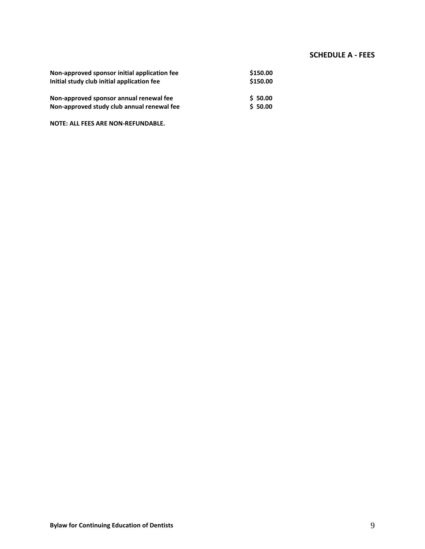## **SCHEDULE A - FEES**

| Non-approved sponsor initial application fee<br>Initial study club initial application fee | \$150.00<br>\$150.00 |
|--------------------------------------------------------------------------------------------|----------------------|
|                                                                                            |                      |
| Non-approved study club annual renewal fee                                                 | \$50.00              |

**NOTE: ALL FEES ARE NON-REFUNDABLE.**